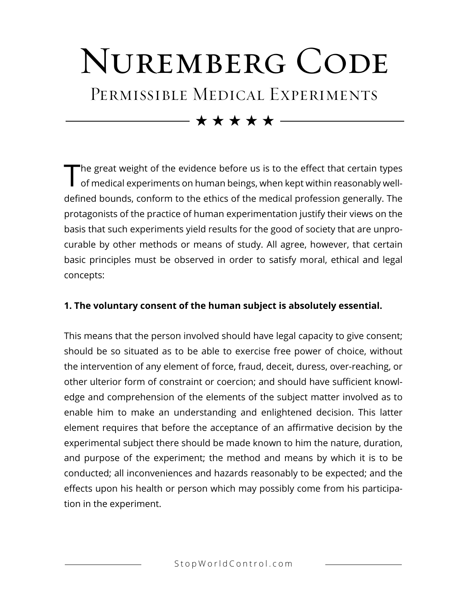## NUREMBERG CODE PERMISSIBLE MEDICAL EXPERIMENTS

 $\star\star\star\star\star$ 

The great weight of the evidence before us is to the effect that certain types<br>of medical experiments on human beings, when kept within reasonably welldefined bounds, conform to the ethics of the medical profession generally. The protagonists of the practice of human experimentation justify their views on the basis that such experiments yield results for the good of society that are unprocurable by other methods or means of study. All agree, however, that certain basic principles must be observed in order to satisfy moral, ethical and legal concepts:

## **1. The voluntary consent of the human subject is absolutely essential.**

This means that the person involved should have legal capacity to give consent; should be so situated as to be able to exercise free power of choice, without the intervention of any element of force, fraud, deceit, duress, over-reaching, or other ulterior form of constraint or coercion; and should have sufficient knowledge and comprehension of the elements of the subject matter involved as to enable him to make an understanding and enlightened decision. This latter element requires that before the acceptance of an affirmative decision by the experimental subject there should be made known to him the nature, duration, and purpose of the experiment; the method and means by which it is to be conducted; all inconveniences and hazards reasonably to be expected; and the effects upon his health or person which may possibly come from his participation in the experiment.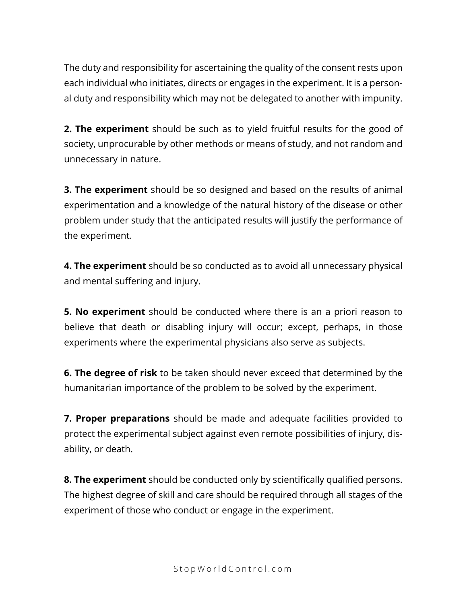The duty and responsibility for ascertaining the quality of the consent rests upon each individual who initiates, directs or engages in the experiment. It is a personal duty and responsibility which may not be delegated to another with impunity.

**2. The experiment** should be such as to yield fruitful results for the good of society, unprocurable by other methods or means of study, and not random and unnecessary in nature.

**3. The experiment** should be so designed and based on the results of animal experimentation and a knowledge of the natural history of the disease or other problem under study that the anticipated results will justify the performance of the experiment.

**4. The experiment** should be so conducted as to avoid all unnecessary physical and mental suffering and injury.

**5. No experiment** should be conducted where there is an a priori reason to believe that death or disabling injury will occur; except, perhaps, in those experiments where the experimental physicians also serve as subjects.

**6. The degree of risk** to be taken should never exceed that determined by the humanitarian importance of the problem to be solved by the experiment.

**7. Proper preparations** should be made and adequate facilities provided to protect the experimental subject against even remote possibilities of injury, disability, or death.

**8. The experiment** should be conducted only by scientifically qualified persons. The highest degree of skill and care should be required through all stages of the experiment of those who conduct or engage in the experiment.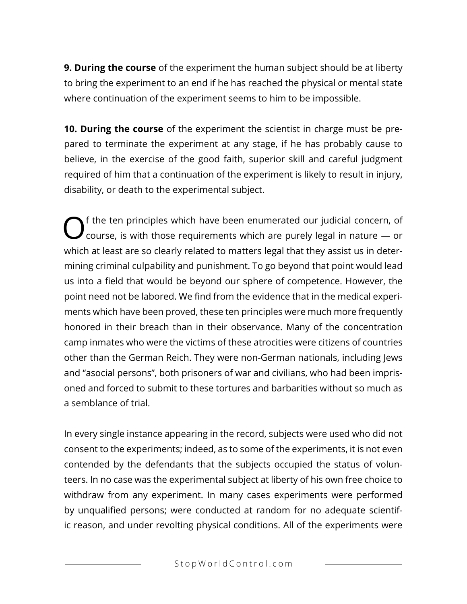**9. During the course** of the experiment the human subject should be at liberty to bring the experiment to an end if he has reached the physical or mental state where continuation of the experiment seems to him to be impossible.

**10. During the course** of the experiment the scientist in charge must be prepared to terminate the experiment at any stage, if he has probably cause to believe, in the exercise of the good faith, superior skill and careful judgment required of him that a continuation of the experiment is likely to result in injury, disability, or death to the experimental subject.

 $\bigodot$  f the ten principles which have been enumerated our judicial concern, of course, is with those requirements which are purely legal in nature  $-$  or which at least are so clearly related to matters legal that they assist us in determining criminal culpability and punishment. To go beyond that point would lead us into a field that would be beyond our sphere of competence. However, the point need not be labored. We find from the evidence that in the medical experiments which have been proved, these ten principles were much more frequently honored in their breach than in their observance. Many of the concentration camp inmates who were the victims of these atrocities were citizens of countries other than the German Reich. They were non-German nationals, including Jews and "asocial persons", both prisoners of war and civilians, who had been imprisoned and forced to submit to these tortures and barbarities without so much as a semblance of trial.

In every single instance appearing in the record, subjects were used who did not consent to the experiments; indeed, as to some of the experiments, it is not even contended by the defendants that the subjects occupied the status of volunteers. In no case was the experimental subject at liberty of his own free choice to withdraw from any experiment. In many cases experiments were performed by unqualified persons; were conducted at random for no adequate scientific reason, and under revolting physical conditions. All of the experiments were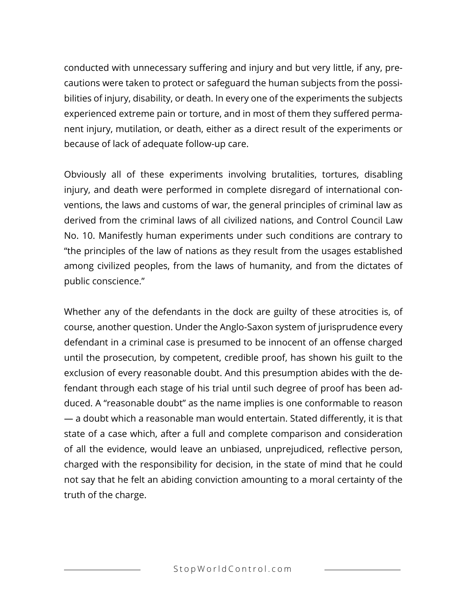conducted with unnecessary suffering and injury and but very little, if any, precautions were taken to protect or safeguard the human subjects from the possibilities of injury, disability, or death. In every one of the experiments the subjects experienced extreme pain or torture, and in most of them they suffered permanent injury, mutilation, or death, either as a direct result of the experiments or because of lack of adequate follow-up care.

Obviously all of these experiments involving brutalities, tortures, disabling injury, and death were performed in complete disregard of international conventions, the laws and customs of war, the general principles of criminal law as derived from the criminal laws of all civilized nations, and Control Council Law No. 10. Manifestly human experiments under such conditions are contrary to "the principles of the law of nations as they result from the usages established among civilized peoples, from the laws of humanity, and from the dictates of public conscience."

Whether any of the defendants in the dock are guilty of these atrocities is, of course, another question. Under the Anglo-Saxon system of jurisprudence every defendant in a criminal case is presumed to be innocent of an offense charged until the prosecution, by competent, credible proof, has shown his guilt to the exclusion of every reasonable doubt. And this presumption abides with the defendant through each stage of his trial until such degree of proof has been adduced. A "reasonable doubt" as the name implies is one conformable to reason — a doubt which a reasonable man would entertain. Stated differently, it is that state of a case which, after a full and complete comparison and consideration of all the evidence, would leave an unbiased, unprejudiced, reflective person, charged with the responsibility for decision, in the state of mind that he could not say that he felt an abiding conviction amounting to a moral certainty of the truth of the charge.